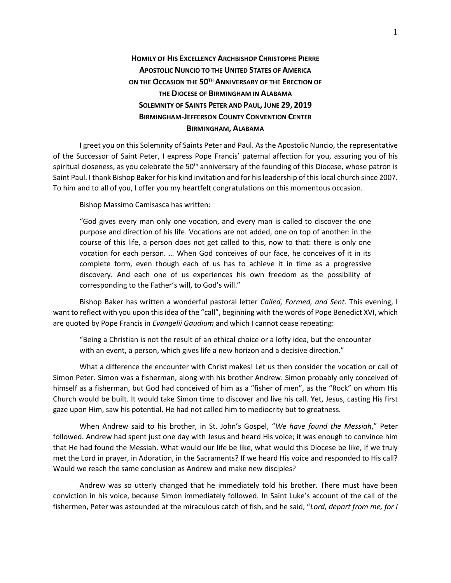## **HOMILY OF HIS EXCELLENCY ARCHBISHOP CHRISTOPHE PIERRE APOSTOLIC NUNCIO TO THE UNITED STATES OF AMERICA ON THE OCCASION THE 50TH ANNIVERSARY OF THE ERECTION OF THE DIOCESE OF BIRMINGHAM IN ALABAMA SOLEMNITY OF SAINTS PETER AND PAUL, JUNE 29, 2019 BIRMINGHAM-JEFFERSON COUNTY CONVENTION CENTER BIRMINGHAM, ALABAMA**

I greet you on this Solemnity of Saints Peter and Paul. As the Apostolic Nuncio, the representative of the Successor of Saint Peter, I express Pope Francis' paternal affection for you, assuring you of his spiritual closeness, as you celebrate the 50<sup>th</sup> anniversary of the founding of this Diocese, whose patron is Saint Paul. I thank Bishop Baker for his kind invitation and for his leadership of this local church since 2007. To him and to all of you, I offer you my heartfelt congratulations on this momentous occasion.

Bishop Massimo Camisasca has written:

"God gives every man only one vocation, and every man is called to discover the one purpose and direction of his life. Vocations are not added, one on top of another: in the course of this life, a person does not get called to this, now to that: there is only one vocation for each person. … When God conceives of our face, he conceives of it in its complete form, even though each of us has to achieve it in time as a progressive discovery. And each one of us experiences his own freedom as the possibility of corresponding to the Father's will, to God's will."

Bishop Baker has written a wonderful pastoral letter *Called, Formed, and Sent*. This evening, I want to reflect with you upon this idea of the "call", beginning with the words of Pope Benedict XVI, which are quoted by Pope Francis in *Evangelii Gaudium* and which I cannot cease repeating:

"Being a Christian is not the result of an ethical choice or a lofty idea, but the encounter with an event, a person, which gives life a new horizon and a decisive direction."

What a difference the encounter with Christ makes! Let us then consider the vocation or call of Simon Peter. Simon was a fisherman, along with his brother Andrew. Simon probably only conceived of himself as a fisherman, but God had conceived of him as a "fisher of men", as the "Rock" on whom His Church would be built. It would take Simon time to discover and live his call. Yet, Jesus, casting His first gaze upon Him, saw his potential. He had not called him to mediocrity but to greatness.

When Andrew said to his brother, in St. John's Gospel, "*We have found the Messiah*," Peter followed. Andrew had spent just one day with Jesus and heard His voice; it was enough to convince him that He had found the Messiah. What would our life be like, what would this Diocese be like, if we truly met the Lord in prayer, in Adoration, in the Sacraments? If we heard His voice and responded to His call? Would we reach the same conclusion as Andrew and make new disciples?

Andrew was so utterly changed that he immediately told his brother. There must have been conviction in his voice, because Simon immediately followed. In Saint Luke's account of the call of the fishermen, Peter was astounded at the miraculous catch of fish, and he said, "*Lord, depart from me, for I*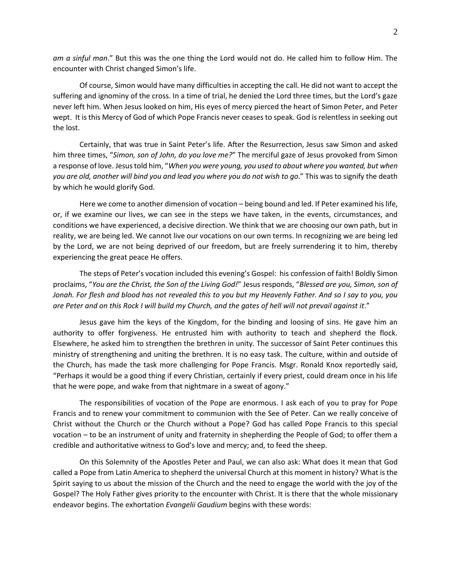*am a sinful man*." But this was the one thing the Lord would not do. He called him to follow Him. The encounter with Christ changed Simon's life.

Of course, Simon would have many difficulties in accepting the call. He did not want to accept the suffering and ignominy of the cross. In a time of trial, he denied the Lord three times, but the Lord's gaze never left him. When Jesus looked on him, His eyes of mercy pierced the heart of Simon Peter, and Peter wept. It is this Mercy of God of which Pope Francis never ceases to speak. God is relentless in seeking out the lost.

Certainly, that was true in Saint Peter's life. After the Resurrection, Jesus saw Simon and asked him three times, "*Simon, son of John, do you love me?*" The merciful gaze of Jesus provoked from Simon a response of love. Jesus told him, "*When you were young, you used to about where you wanted, but when you are old, another will bind you and lead you where you do not wish to go*." This was to signify the death by which he would glorify God.

Here we come to another dimension of vocation – being bound and led. If Peter examined his life, or, if we examine our lives, we can see in the steps we have taken, in the events, circumstances, and conditions we have experienced, a decisive direction. We think that we are choosing our own path, but in reality, we are being led. We cannot live our vocations on our own terms. In recognizing we are being led by the Lord, we are not being deprived of our freedom, but are freely surrendering it to him, thereby experiencing the great peace He offers.

The steps of Peter's vocation included this evening's Gospel: his confession of faith! Boldly Simon proclaims, "*You are the Christ, the Son of the Living God!*" Jesus responds, "*Blessed are you, Simon, son of Jonah. For flesh and blood has not revealed this to you but my Heavenly Father. And so I say to you, you are Peter and on this Rock I will build my Church, and the gates of hell will not prevail against it*."

Jesus gave him the keys of the Kingdom, for the binding and loosing of sins. He gave him an authority to offer forgiveness. He entrusted him with authority to teach and shepherd the flock. Elsewhere, he asked him to strengthen the brethren in unity. The successor of Saint Peter continues this ministry of strengthening and uniting the brethren. It is no easy task. The culture, within and outside of the Church, has made the task more challenging for Pope Francis. Msgr. Ronald Knox reportedly said, "Perhaps it would be a good thing if every Christian, certainly if every priest, could dream once in his life that he were pope, and wake from that nightmare in a sweat of agony."

The responsibilities of vocation of the Pope are enormous. I ask each of you to pray for Pope Francis and to renew your commitment to communion with the See of Peter. Can we really conceive of Christ without the Church or the Church without a Pope? God has called Pope Francis to this special vocation – to be an instrument of unity and fraternity in shepherding the People of God; to offer them a credible and authoritative witness to God's love and mercy; and, to feed the sheep.

On this Solemnity of the Apostles Peter and Paul, we can also ask: What does it mean that God called a Pope from Latin America to shepherd the universal Church at this moment in history? What is the Spirit saying to us about the mission of the Church and the need to engage the world with the joy of the Gospel? The Holy Father gives priority to the encounter with Christ. It is there that the whole missionary endeavor begins. The exhortation *Evangelii Gaudium* begins with these words: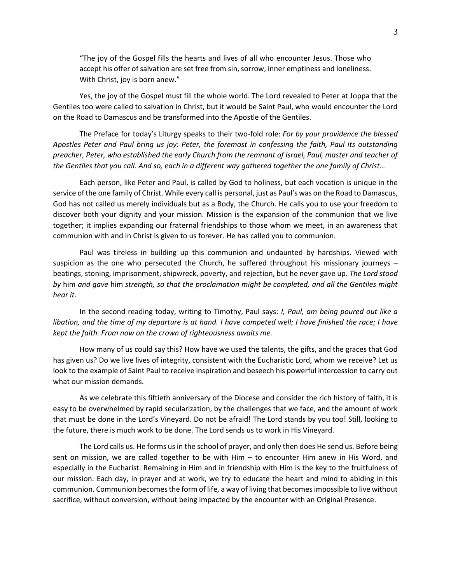"The joy of the Gospel fills the hearts and lives of all who encounter Jesus. Those who accept his offer of salvation are set free from sin, sorrow, inner emptiness and loneliness. With Christ, joy is born anew."

Yes, the joy of the Gospel must fill the whole world. The Lord revealed to Peter at Joppa that the Gentiles too were called to salvation in Christ, but it would be Saint Paul, who would encounter the Lord on the Road to Damascus and be transformed into the Apostle of the Gentiles.

The Preface for today's Liturgy speaks to their two-fold role: *For by your providence the blessed Apostles Peter and Paul bring us joy: Peter, the foremost in confessing the faith, Paul its outstanding preacher, Peter, who established the early Church from the remnant of Israel, Paul, master and teacher of the Gentiles that you call. And so, each in a different way gathered together the one family of Christ…*

Each person, like Peter and Paul, is called by God to holiness, but each vocation is unique in the service of the one family of Christ. While every call is personal, just as Paul's was on the Road to Damascus, God has not called us merely individuals but as a Body, the Church. He calls you to use your freedom to discover both your dignity and your mission. Mission is the expansion of the communion that we live together; it implies expanding our fraternal friendships to those whom we meet, in an awareness that communion with and in Christ is given to us forever. He has called you to communion.

Paul was tireless in building up this communion and undaunted by hardships. Viewed with suspicion as the one who persecuted the Church, he suffered throughout his missionary journeys – beatings, stoning, imprisonment, shipwreck, poverty, and rejection, but he never gave up. *The Lord stood by* him *and gave* him *strength, so that the proclamation might be completed, and all the Gentiles might hear it*.

In the second reading today, writing to Timothy, Paul says: *I, Paul, am being poured out like a libation, and the time of my departure is at hand. I have competed well; I have finished the race; I have kept the faith. From now on the crown of righteousness awaits me.*

How many of us could say this? How have we used the talents, the gifts, and the graces that God has given us? Do we live lives of integrity, consistent with the Eucharistic Lord, whom we receive? Let us look to the example of Saint Paul to receive inspiration and beseech his powerful intercession to carry out what our mission demands.

As we celebrate this fiftieth anniversary of the Diocese and consider the rich history of faith, it is easy to be overwhelmed by rapid secularization, by the challenges that we face, and the amount of work that must be done in the Lord's Vineyard. Do not be afraid! The Lord stands by you too! Still, looking to the future, there is much work to be done. The Lord sends us to work in His Vineyard.

The Lord calls us. He forms us in the school of prayer, and only then does He send us. Before being sent on mission, we are called together to be with Him – to encounter Him anew in His Word, and especially in the Eucharist. Remaining in Him and in friendship with Him is the key to the fruitfulness of our mission. Each day, in prayer and at work, we try to educate the heart and mind to abiding in this communion. Communion becomes the form of life, a way of living that becomes impossible to live without sacrifice, without conversion, without being impacted by the encounter with an Original Presence.